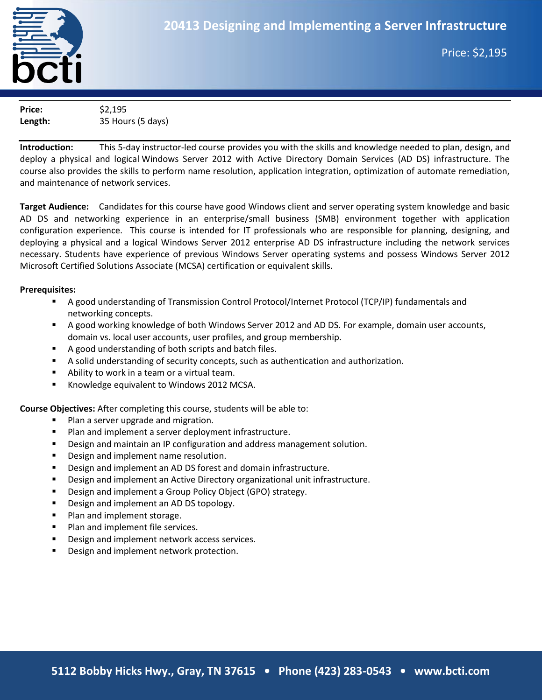

**March to June 2009**

**Price:** \$2.195 **Length:** 35 Hours (5 days)

**Introduction:** This 5-day instructor-led course provides you with the skills and knowledge needed to plan, design, and deploy a physical and logical Windows Server 2012 with Active Directory Domain Services (AD DS) infrastructure. The course also provides the skills to perform name resolution, application integration, optimization of automate remediation, and maintenance of network services.

**Target Audience:** Candidates for this course have good Windows client and server operating system knowledge and basic AD DS and networking experience in an enterprise/small business (SMB) environment together with application configuration experience. This course is intended for IT professionals who are responsible for planning, designing, and deploying a physical and a logical Windows Server 2012 enterprise AD DS infrastructure including the network services necessary. Students have experience of previous Windows Server operating systems and possess Windows Server 2012 Microsoft Certified Solutions Associate (MCSA) certification or equivalent skills.

#### **Prerequisites:**

- A good understanding of Transmission Control Protocol/Internet Protocol (TCP/IP) fundamentals and networking concepts.
- A good working knowledge of both Windows Server 2012 and AD DS. For example, domain user accounts, domain vs. local user accounts, user profiles, and group membership.
- A good understanding of both scripts and batch files.
- A solid understanding of security concepts, such as authentication and authorization.
- **Ability to work in a team or a virtual team.**
- **K**nowledge equivalent to Windows 2012 MCSA.

**Course Objectives:** After completing this course, students will be able to:

- **Plan a server upgrade and migration.**
- **Plan and implement a server deployment infrastructure.**
- **Design and maintain an IP configuration and address management solution.**
- **Design and implement name resolution.**
- Design and implement an AD DS forest and domain infrastructure.
- Design and implement an Active Directory organizational unit infrastructure.
- **Design and implement a Group Policy Object (GPO) strategy.**
- Design and implement an AD DS topology.
- **Plan and implement storage.**
- **Plan and implement file services.**
- **Design and implement network access services.**
- Design and implement network protection.